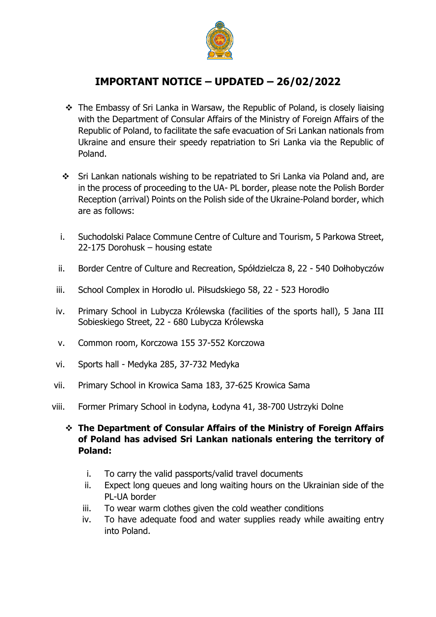

## **IMPORTANT NOTICE – UPDATED – 26/02/2022**

- ❖ The Embassy of Sri Lanka in Warsaw, the Republic of Poland, is closely liaising with the Department of Consular Affairs of the Ministry of Foreign Affairs of the Republic of Poland, to facilitate the safe evacuation of Sri Lankan nationals from Ukraine and ensure their speedy repatriation to Sri Lanka via the Republic of Poland.
- ❖ Sri Lankan nationals wishing to be repatriated to Sri Lanka via Poland and, are in the process of proceeding to the UA- PL border, please note the Polish Border Reception (arrival) Points on the Polish side of the Ukraine-Poland border, which are as follows:
- i. [Suchodolski Palace Commune Centre of Culture and Tourism, 5 Parkowa Street,](https://www.google.pl/maps/place/Gminny+O%C5%9Brodek+Kultury+i+Turystyki/@51.1653246,23.8026394,17z/data=!3m1!4b1!4m5!3m4!1s0x4723890b09b9cd4d:0x5747c0a6dfbbb992!8m2!3d51.1653213!4d23.8048281)  22-175 Dorohusk – [housing estate](https://www.google.pl/maps/place/Gminny+O%C5%9Brodek+Kultury+i+Turystyki/@51.1653246,23.8026394,17z/data=!3m1!4b1!4m5!3m4!1s0x4723890b09b9cd4d:0x5747c0a6dfbbb992!8m2!3d51.1653213!4d23.8048281)
- ii. [Border Centre of Culture and Recreation, Spółdzielcza 8, 22](https://www.google.pl/maps/place/Sp%C3%B3%C5%82dzielcza+8,+22-540+Do%C5%82hobycz%C3%B3w/@50.5879307,24.0283211,17z/data=!3m1!4b1!4m5!3m4!1s0x4724ebc1d634e40b:0xd5f90534ea38bc2!8m2!3d50.5879273!4d24.0305098)  540 Dołhobyczów
- iii. School Complex in Horodło ul. [Piłsudskiego 58, 22](https://www.google.pl/maps/place/Pi%C5%82sudskiego+58,+22-523+Horod%C5%82o/@50.8926628,24.0368682,17z/data=!3m1!4b1!4m5!3m4!1s0x472462183af3e259:0xd69367888104506d!8m2!3d50.8926594!4d24.0390569)  523 Horodło
- iv. [Primary School in Lubycza Królewska \(f](https://www.google.pl/maps/place/Jana+III+Sobieskiego+5,+22-680+Lubycza+Kr%C3%B3lewska/@50.3394224,23.5188553,17z/data=!3m1!4b1!4m5!3m4!1s0x4724b3bd755b9765:0x26f2a4990b2faa5e!8m2!3d50.339419!4d23.521044)acilities of the sports hall), 5 Jana III [Sobieskiego Street, 22 -](https://www.google.pl/maps/place/Jana+III+Sobieskiego+5,+22-680+Lubycza+Kr%C3%B3lewska/@50.3394224,23.5188553,17z/data=!3m1!4b1!4m5!3m4!1s0x4724b3bd755b9765:0x26f2a4990b2faa5e!8m2!3d50.339419!4d23.521044) 680 Lubycza Królewska
- v. [Common room, Korczowa 155 37-552](https://www.google.pl/maps/place/Korczowa+155,+37-552+Korczowa/@49.9561414,23.0772052,17z/data=!3m1!4b1!4m5!3m4!1s0x473b661c37c1543d:0x53c763b3848f116f!8m2!3d49.956138!4d23.0793939) Korczowa
- vi. Sports hall [Medyka 285, 37-732](https://www.google.pl/maps/place/Medyka+285,+37-732+Medyka/@49.8051923,22.929263,17z/data=!3m1!4b1!4m5!3m4!1s0x473b7a1b8d10b8ef:0xfefb13192f90c961!8m2!3d49.8051889!4d22.9314517) Medyka
- vii. [Primary School in Krowica Sama 183, 37-625](https://www.google.pl/maps/place/Krowica+Sama+183,+37-625+Krowica+Sama/@50.1010344,23.2304753,17z/data=!3m1!4b1!4m5!3m4!1s0x473b44b9036f5299:0x4dbc0df5ae661a69!8m2!3d50.101031!4d23.232664) Krowica Sama
- viii. [Former Primary School in Łodyna, Łodyna 41, 38](https://www.google.pl/maps/place/%C5%81odyna+41,+38-700+%C5%81odyna/@49.4601555,22.5926813,17z/data=!3m1!4b1!4m5!3m4!1s0x473b8d201b3780cd:0xa2cdd669984b3272!8m2!3d49.460152!4d22.59487)-700 Ustrzyki Dolne

## ❖ **The Department of Consular Affairs of the Ministry of Foreign Affairs of Poland has advised Sri Lankan nationals entering the territory of Poland:**

- i. To carry the valid passports/valid travel documents
- ii. Expect long queues and long waiting hours on the Ukrainian side of the PL-UA border
- iii. To wear warm clothes given the cold weather conditions
- iv. To have adequate food and water supplies ready while awaiting entry into Poland.